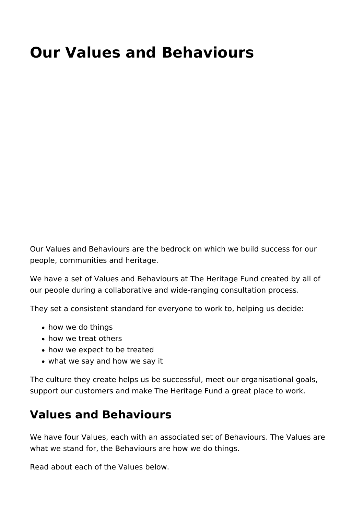# **Our Values and Behaviours**

Our Values and Behaviours are the bedrock on which we build success for our people, communities and heritage.

We have a set of Values and Behaviours at The Heritage Fund created by all of our people during a collaborative and wide-ranging consultation process.

They set a consistent standard for everyone to work to, helping us decide:

- how we do things
- how we treat others
- how we expect to be treated
- what we say and how we say it

The culture they create helps us be successful, meet our organisational goals, support our customers and make The Heritage Fund a great place to work.

## **Values and Behaviours**

We have four Values, each with an associated set of Behaviours. The Values are what we stand for, the Behaviours are how we do things.

Read about each of the Values below.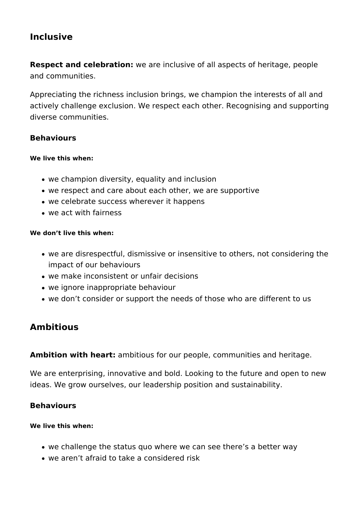### **Inclusive**

**Respect and celebration:** we are inclusive of all aspects of heritage, people and communities.

Appreciating the richness inclusion brings, we champion the interests of all and actively challenge exclusion. We respect each other. Recognising and supporting diverse communities.

### **Behaviours**

#### **We live this when:**

- we champion diversity, equality and inclusion
- we respect and care about each other, we are supportive
- we celebrate success wherever it happens
- we act with fairness

### **We don't live this when:**

- we are disrespectful, dismissive or insensitive to others, not considering the impact of our behaviours
- we make inconsistent or unfair decisions
- we ignore inappropriate behaviour
- we don't consider or support the needs of those who are different to us

### **Ambitious**

**Ambition with heart:** ambitious for our people, communities and heritage.

We are enterprising, innovative and bold. Looking to the future and open to new ideas. We grow ourselves, our leadership position and sustainability.

### **Behaviours**

### **We live this when:**

- we challenge the status quo where we can see there's a better way
- we aren't afraid to take a considered risk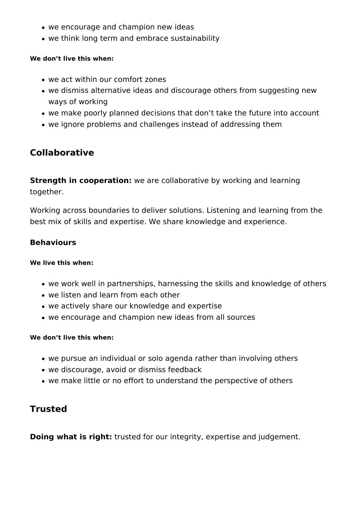- we encourage and champion new ideas
- we think long term and embrace sustainability

### **We don't live this when:**

- we act within our comfort zones
- we dismiss alternative ideas and discourage others from suggesting new ways of working
- we make poorly planned decisions that don't take the future into account
- we ignore problems and challenges instead of addressing them

### **Collaborative**

**Strength in cooperation:** we are collaborative by working and learning together.

Working across boundaries to deliver solutions. Listening and learning from the best mix of skills and expertise. We share knowledge and experience.

### **Behaviours**

### **We live this when:**

- we work well in partnerships, harnessing the skills and knowledge of others
- we listen and learn from each other
- we actively share our knowledge and expertise
- we encourage and champion new ideas from all sources

### **We don't live this when:**

- we pursue an individual or solo agenda rather than involving others
- we discourage, avoid or dismiss feedback
- we make little or no effort to understand the perspective of others

### **Trusted**

**Doing what is right:** trusted for our integrity, expertise and judgement.